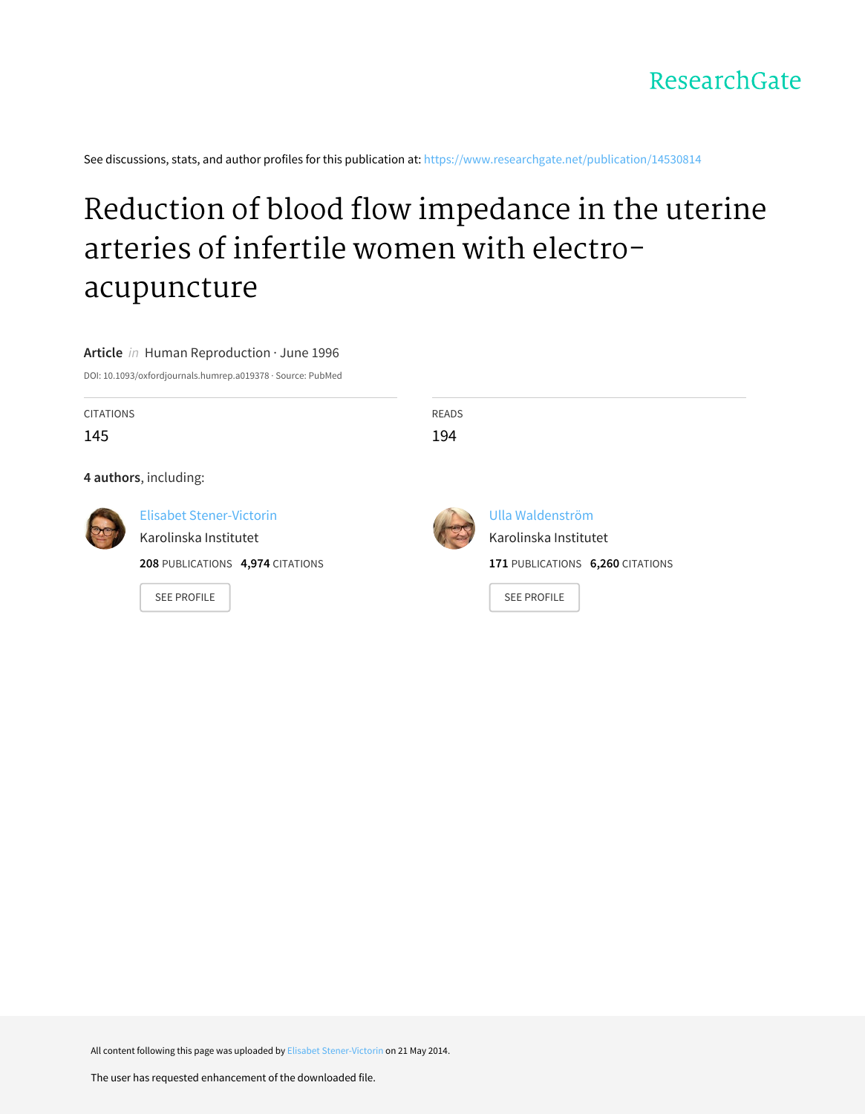See discussions, stats, and author profiles for this publication at: [https://www.researchgate.net/publication/14530814](https://www.researchgate.net/publication/14530814_Reduction_of_blood_flow_impedance_in_the_uterine_arteries_of_infertile_women_with_electro-acupuncture?enrichId=rgreq-52ad7b6723866b43715e1f61d3ad8827-XXX&enrichSource=Y292ZXJQYWdlOzE0NTMwODE0O0FTOjk5MDkyMjUyMzMyMDQ0QDE0MDA2MzY4NDI5MjY%3D&el=1_x_2&_esc=publicationCoverPdf)

# Reduction of blood flow impedance in the uterine arteries of infertile women with electro[acupuncture](https://www.researchgate.net/publication/14530814_Reduction_of_blood_flow_impedance_in_the_uterine_arteries_of_infertile_women_with_electro-acupuncture?enrichId=rgreq-52ad7b6723866b43715e1f61d3ad8827-XXX&enrichSource=Y292ZXJQYWdlOzE0NTMwODE0O0FTOjk5MDkyMjUyMzMyMDQ0QDE0MDA2MzY4NDI5MjY%3D&el=1_x_3&_esc=publicationCoverPdf)

**Article** in Human Reproduction · June 1996

DOI: 10.1093/oxfordjournals.humrep.a019378 · Source: PubMed

| <b>CITATIONS</b><br>145 |                                                                                                                    | <b>READS</b><br>194 |                                                                                                     |  |  |  |  |  |
|-------------------------|--------------------------------------------------------------------------------------------------------------------|---------------------|-----------------------------------------------------------------------------------------------------|--|--|--|--|--|
| 4 authors, including:   |                                                                                                                    |                     |                                                                                                     |  |  |  |  |  |
|                         | <b>Elisabet Stener-Victorin</b><br>Karolinska Institutet<br>208 PUBLICATIONS 4,974 CITATIONS<br><b>SEE PROFILE</b> |                     | Ulla Waldenström<br>Karolinska Institutet<br>171 PUBLICATIONS 6,260 CITATIONS<br><b>SEE PROFILE</b> |  |  |  |  |  |

All content following this page was uploaded by Elisabet [Stener-Victorin](https://www.researchgate.net/profile/Elisabet_Stener-Victorin2?enrichId=rgreq-52ad7b6723866b43715e1f61d3ad8827-XXX&enrichSource=Y292ZXJQYWdlOzE0NTMwODE0O0FTOjk5MDkyMjUyMzMyMDQ0QDE0MDA2MzY4NDI5MjY%3D&el=1_x_10&_esc=publicationCoverPdf) on 21 May 2014.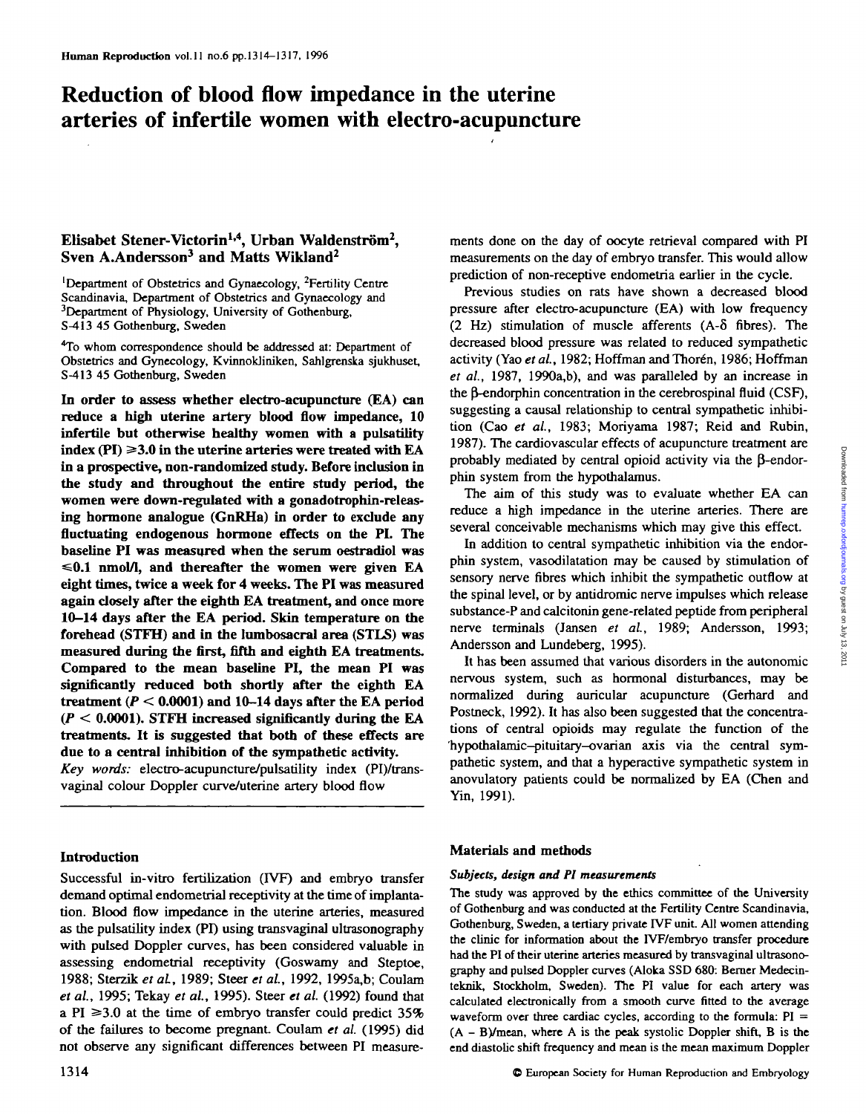## **Reduction of blood flow impedance in the uterine arteries of infertile women with electro-acupuncture**

## Elisabet Stener-Victorin<sup>1,4</sup>, Urban Waldenström<sup>2</sup>, Sven A.Andersson<sup>3</sup> and Matts Wikland<sup>2</sup>

'Department of Obstetrics and Gynaecology, <sup>2</sup>Fertility Centre Scandinavia, Department of Obstetrics and Gynaecology and <sup>3</sup>Department of Physiology, University of Gothenburg, S-413 45 Gothenburg, Sweden

<sup>4</sup>To whom correspondence should be addressed at: Department of Obstetrics and Gynecology, KvinnokJiniken, Sahlgrenska sjukhuset, S-413 45 Gothenburg, Sweden

**In order to assess whether electro-acupuncture (EA) can reduce a high uterine artery blood flow impedance, 10 infertile but otherwise healthy women with a pulsatility**  $index (PI) \geq 3.0$  in the uterine arteries were treated with  $EA$ **in a prospective, non-randomized study. Before inclusion in the study and throughout the entire study period, the women were down-regulated with a gonadotrophin-releasing hormone analogue (GnRHa) in order to exclude any fluctuating endogenous hormone effects on the PL The baseline PI was measured when the serum oestradiol was =s0.1 nmol/1, and thereafter the women were given EA eight times, twice a week for 4 weeks. The PI was measured again closely after the eighth EA treatment, and once more 10-14 days after the EA period. Skin temperature on the forehead (STFH) and in the lumbosacral area (STLS) was measured during the first, fifth and eighth EA treatments. Compared to the mean baseline PI, the mean PI was significantly reduced both shortly after the eighth EA treatment** *(P <* **0.0001) and 10-14 days after the EA period** *(P <* **0.0001). STFH increased significantly during the EA treatments. It is suggested that both of these effects are due to a central inhibition of the sympathetic activity.** *Key words:* electro-acupuncture/pulsatility index (PI)/trans-

vaginal colour Doppler curve/uterine artery blood flow

## **Introduction**

Successful in-vitro fertilization (IVF) and embryo transfer demand optimal endometrial receptivity at the time of implantation. Blood flow impedance in die uterine arteries, measured as the pulsatility index (PI) using transvaginal ultrasonography with pulsed Doppler curves, has been considered valuable in assessing endometrial receptivity (Goswamy and Steptoe, 1988; Sterzik *et al,* 1989; Steer *et al,* 1992, 1995a,b; Coulam *et al,* 1995; Tekay *et al,* 1995). Steer *et al.* (1992) found that a PI  $\geq$ 3.0 at the time of embryo transfer could predict 35% of the failures to become pregnant. Coulam et al. (1995) did not observe any significant differences between PI measuremerits done on the day of oocyte retrieval compared with PI measurements on the day of embryo transfer. This would allow prediction of non-receptive endometria earlier in the cycle.

Previous studies on rats have shown a decreased blood pressure after electro-acupuncture (EA) with low frequency (2 Hz) stimulation of muscle afferents (A-8 fibres). The decreased blood pressure was related to reduced sympathetic activity (Yao et al., 1982; Hoffman and Thorén, 1986; Hoffman *et al,* 1987, 1990a,b), and was paralleled by an increase in the B-endorphin concentration in the cerebrospinal fluid (CSF), suggesting a causal relationship to central sympathetic inhibition (Cao *et al,* 1983; Moriyama 1987; Reid and Rubin, 1987). The cardiovascular effects of acupuncture treatment are probably mediated by central opioid activity via the  $\beta$ -endorphin system from the hypothalamus.

The aim of this study was to evaluate whether EA can reduce a high impedance in the uterine arteries. There are several conceivable mechanisms which may give this effect

In addition to central sympathetic inhibition via the endorphin system, vasodilatation may be caused by stimulation of sensory nerve fibres which inhibit die sympathetic outflow at the spinal level, or by antidromic nerve impulses which release substance-P and calcitonin gene-related peptide from peripheral nerve terminals (Jansen *et al,* 1989; Andersson, 1993; Andersson and Lundeberg, 1995).

It has been assumed that various disorders in the autonomic nervous system, such as hormonal disturbances, may be normalized during auricular acupuncture (Gerhard and Postneck, 1992). It has also been suggested that the concentrations of central opioids may regulate the function of the 'hypothalamic-pituitary-ovarian axis via the central sympathetic system, and that a hyperactive sympathetic system in anovulatory patients could be normalized by EA (Chen and Yin, 1991).

#### **Materials and methods**

#### *Subjects, design and PI measurements*

The study was approved by the ethics committee of the University of Gothenburg and was conducted at the Fertility Centre Scandinavia, Gothenburg, Sweden, a tertiary private IVF unit All women attending the clinic for information about the IVF/embryo transfer procedure had the PI of their uterine arteries measured by transvaginal ultrasonography and pulsed Doppler curves (Aloka SSD 680. Berner Medecinteknik, Stockholm, Sweden). The PI value for each artery was calculated electronically from a smooth curve fitted to the average waveform over three cardiac cycles, according to the formula:  $PI =$  $(A - B)$ /mean, where A is the peak systolic Doppler shift, B is the end diastolic shift frequency and mean is the mean maximum Doppler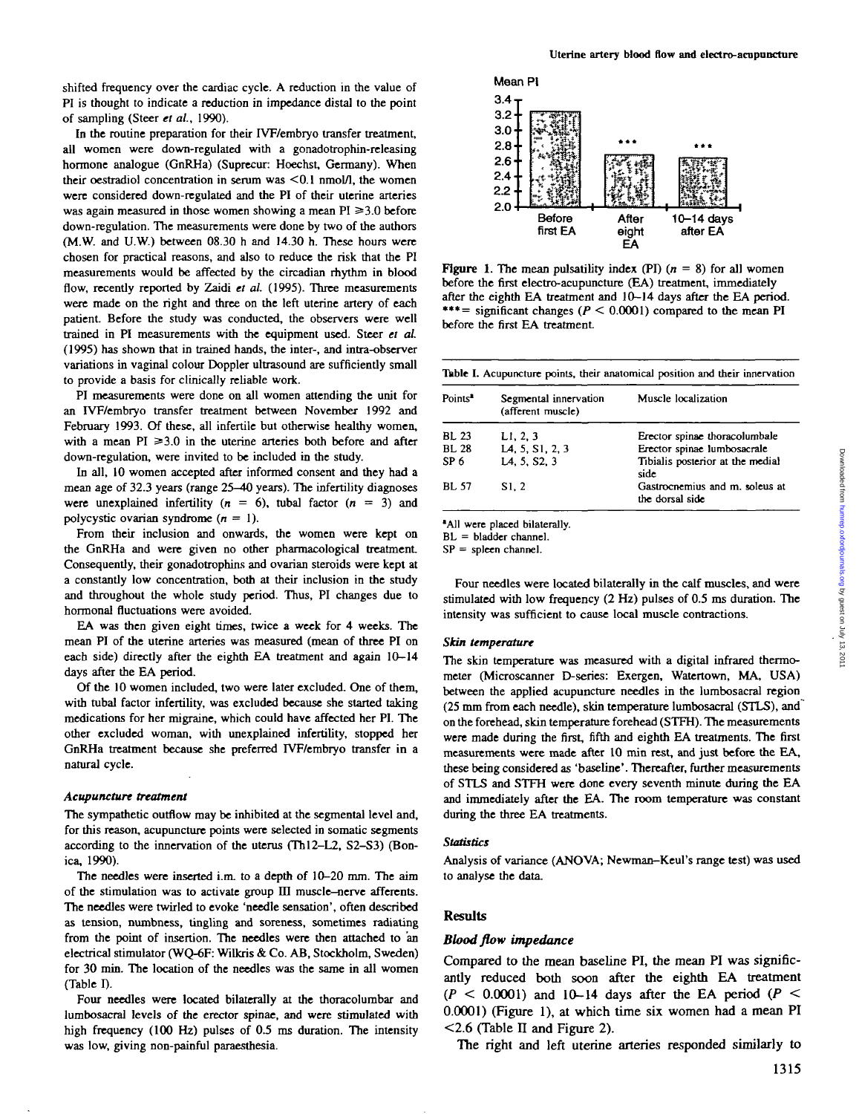shifted frequency over the cardiac cycle. A reduction in the value of PI is thought to indicate a reduction in impedance distal to the point of sampling (Steer *et al.,* 1990).

In the routine preparation for their IVF/embryo transfer treatment, all women were down-regulated with a gonadotrophin-rcleasing hormone analogue (GnRHa) (Suprecur: Hoechst, Germany). When their oestradiol concentration in serum was  $\leq 0.1$  nmol/l, the women were considered down-regulated and the PI of their uterine arteries was again measured in those women showing a mean  $PI \geq 3.0$  before down-regulation. The measurements were done by two of the authors (M.W. and U.W.) between 08.30 h and 14.30 h. These hours were chosen for practical reasons, and also to reduce the risk that the PI measurements would be affected by the circadian rhythm in blood flow, recently reported by Zaidi et al. (1995). Three measurements were made on the right and three on the left uterine artery of each patient. Before the study was conducted, the observers were well trained in PI measurements with the equipment used. Steer *et al* (1995) has shown that in trained hands, the inter-, and intra-observer variations in vaginal colour Doppler ultrasound are sufficiently small to provide a basis for clinically reliable work.

PI measurements were done on all women attending the unit for an IVF/embryo transfer treatment between November 1992 and February 1993. Of these, all infertile but otherwise healthy women, with a mean  $PI \geq 3.0$  in the uterine arteries both before and after down-regulation, were invited to be included in the study.

In all, 10 women accepted after informed consent and they had a mean age of 32.3 years (range 25-40 years). The infertility diagnoses were unexplained infertility ( $n = 6$ ), tubal factor ( $n = 3$ ) and polycystic ovarian syndrome  $(n = 1)$ .

From their inclusion and onwards, the women were kept on the GnRHa and were given no other pharmacological treatment Consequently, their gonadotrophins and ovarian steroids were kept at a constantly low concentration, both at their inclusion in the study and throughout the whole study period. Thus, PI changes due to hormonal fluctuations were avoided.

EA was then given eight times, twice a week for 4 weeks. The mean PI of the uterine arteries was measured (mean of three PI on each side) directly after the eighth EA treatment and again 10-14 days after the EA period.

Of the 10 women included, two were later excluded. One of them, with tubal factor infertility, was excluded because she started taking medications for her migraine, which could have affected her PI. The other excluded woman, with unexplained infertility, stopped her GnRHa treatment because she preferred IVF/embryo transfer in a natural cycle.

#### *Acupuncture treatment*

The sympathetic outflow may be inhibited at the segmental level and, for this reason, acupuncture points were selected in somatic segments according to the innervation of the uterus (Thl2-L2, S2-S3) (Bonica, 1990).

The needles were inserted i.m. to a depth of 10-20 mm. The aim of the stimulation was to activate group  $III$  muscle-nerve afferents. The needles were twirled to evoke 'needle sensation', often described as tension, numbness, tingling and soreness, sometimes radiating from the point of insertion. The needles were then attached to an electrical stimulator (WQ-6F: Wilkris & Co. AB, Stockholm, Sweden) for 30 min. The location of the needles was the same in all women (Table I).

Four needles were located bilaterally at the thoracolumbar and lumbosacral levels of the erector spinae, and were stimulated with high frequency (100 Hz) pulses of *03* ms duration. The intensity was low, giving non-painful paraesthesia.



**Figure 1.** The mean pulsatility index (PI)  $(n = 8)$  for all women before the first electro-acupuncture (EA) treatment, immediately after the eighth EA treatment and 10-14 days after the EA period. \*\*\*= significant changes *(P <* 0.0001) compared to the mean PI before the first EA treatment

| Table I. Acupuncture points, their anatomical position and their innervation |
|------------------------------------------------------------------------------|
|------------------------------------------------------------------------------|

| Points <sup>2</sup> | Segmental innervation<br>(afferent muscle) | Muscle localization                               |
|---------------------|--------------------------------------------|---------------------------------------------------|
| BL 23               | LI, 2, 3                                   | Erector spinae thoracolumbale                     |
| BL 28               | L <sub>4</sub> , 5, S <sub>1</sub> , 2, 3  | Erector spinae lumbosacrale                       |
| SP 6                | LA, 5, S2, 3                               | Tibialis posterior at the medial<br>side          |
| BL 57               | S1.2                                       | Gastrocnemius and m. soleus at<br>the dorsal side |

'All were placed bilaterally.

BL = bladder channel.

 $SP = sphere$ n channel.

Four needles were located bilaterally in the calf muscles, and were stimulated with low frequency (2 Hz) pulses of 0.5 ms duration. The intensity was sufficient to cause local muscle contractions.

#### *Skin temperature*

The skin temperature was measured with a digital infrared thermometer (Microscanner D-series: Exergen, Watertown, MA, USA) between the applied acupuncture needles in the lumbosacral region (25 mm from each needle), skin temperature lumbosacral (STLS), and on the forehead, skin temperature forehead (STFH). The measurements were made during the first, fifth and eighth EA treatments. The first measurements were made after 10 min rest, and just before the EA, these being considered as 'baseline'. Thereafter, further measurements of STLS and STFH were done every seventh minute during the EA and immediately after the EA. The room temperature was constant during the three EA treatments.

#### *Statistics*

Analysis of variance (ANOVA; Newman-Keul's range test) was used to analyse the data.

#### **Results**

#### *Blood flow impedance*

Compared to the mean baseline PI, the mean PI was significantly reduced both soon after the eighth EA treatment *(P <* 0.0001) and 10-14 days after the EA period *(P <* 0.0001) (Figure 1), at which time six women had a mean PI  $\leq$ 2.6 (Table II and Figure 2).

The right and left uterine arteries responded similarly to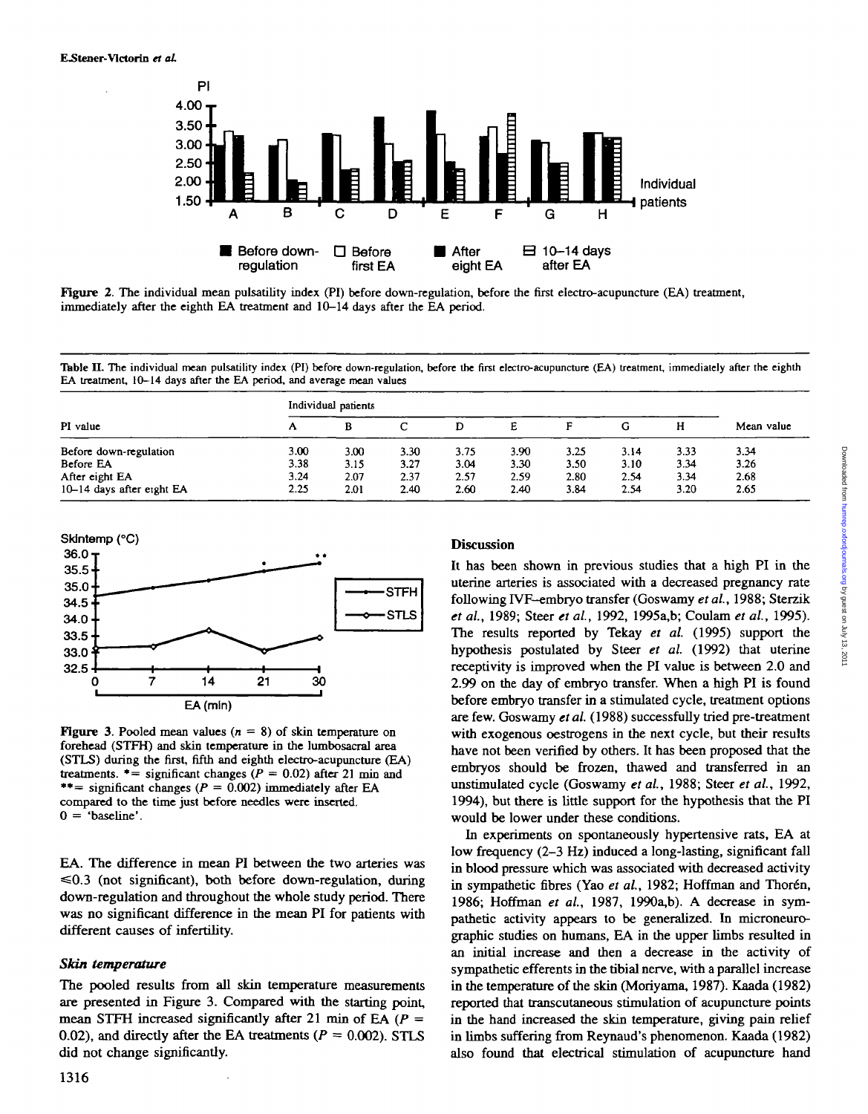

**Figure 2.** The individual mean pulsatility index (PI) before down-regulation, before the first electro-acupuncture (EA) treatment, immediately after the eighth EA treatment and 10-14 days after the EA period.

Table II. The individual mean pulsatility index (PI) before down-regulation, before the first electro-acupuncture (EA) treatment, immediately after the eighth EA treatment, 10-14 days after the EA period. **and i** average mean values

|                           | Individual patients |      |      |      |      |      |      |      |            |
|---------------------------|---------------------|------|------|------|------|------|------|------|------------|
| PI value                  | А                   |      | С    |      | E    |      | G    | н    | Mean value |
| Before down-regulation    | 3.00                | 3.00 | 3.30 | 3.75 | 3.90 | 3.25 | 3.14 | 3.33 | 3.34       |
| Before EA                 | 3.38                | 3.15 | 3.27 | 3.04 | 3.30 | 3.50 | 3.10 | 3.34 | 3.26       |
| After eight EA            | 3.24                | 2.07 | 2.37 | 2.57 | 2.59 | 2.80 | 2.54 | 3.34 | 2.68       |
| 10-14 days after eight EA | 2.25                | 2.01 | 2.40 | 2.60 | 2.40 | 3.84 | 2.54 | 3.20 | 2.65       |



**Figure 3.** Pooled mean values ( $n = 8$ ) of skin temperature on forehead (STFH) and skin temperature in the lumbosacral area (STLS) during the first, fifth and eighth electro-acupuncture (EA) treatments.  $*$  = significant changes ( $P = 0.02$ ) after 21 min and \*\*= significant changes  $(P = 0.002)$  immediately after EA compared to the time just before needles were inserted.  $0 =$  'baseline'.

EA. The difference in mean PI between the two arteries was  $\leq 0.3$  (not significant), both before down-regulation, during down-regulation and throughout the whole study period. There was no significant difference in the mean PI for patients with different causes of infertility.

#### *Skin temperature*

The pooled results from all skin temperature measurements are presented in Figure 3. Compared with the starting point, mean STFH increased significantly after 21 min of EA *(P =* 0.02), and directly after the EA treatments ( $P = 0.002$ ). STLS did not change significantly.

## **Discussion**

It has been shown in previous studies that a high PI in the uterine arteries is associated with a decreased pregnancy rate following rVF-embryo transfer (Goswamy *et al.,* 1988; Sterzik *et al,* 1989; Steer *et al,* 1992, 1995a,b; Coulam *et al.,* 1995). The results reported by Tekay *et al.* (1995) support the hypothesis postulated by Steer *et al.* (1992) that uterine receptivity is improved when the PI value is between 2.0 and 2.99 on the day of embryo transfer. When a high PI is found before embryo transfer in a stimulated cycle, treatment options are few. Goswamy *et al.* (1988) successfully tried pre-treatment with exogenous oestrogens in the next cycle, but their results have not been verified by others. It has been proposed that the embryos should be frozen, thawed and transferred in an unstimulated cycle (Goswamy *et al.,* 1988; Steer *et al,* 1992, 1994), but there is little support for the hypothesis that the PI would be lower under these conditions.

In experiments on spontaneously hypertensive rats, EA at low frequency (2-3 Hz) induced a long-lasting, significant fall in blood pressure which was associated with decreased activity in sympathetic fibres (Yao et al., 1982; Hoffman and Thorén, 1986; Hoffman *et al,* 1987, 1990a,b). A decrease in sympathetic activity appears to be generalized. In microneurographic studies on humans, EA in the upper limbs resulted in an initial increase and then a decrease in the activity of sympathetic efferents in the tibial nerve, with a parallel increase in the temperature of the skin (Moriyama, 1987). Kaada (1982) reported that transcutaneous stimulation of acupuncture points in the hand increased the skin temperature, giving pain relief in limbs suffering from Reynaud's phenomenon. Kaada (1982) also found that electrical stimulation of acupuncture hand